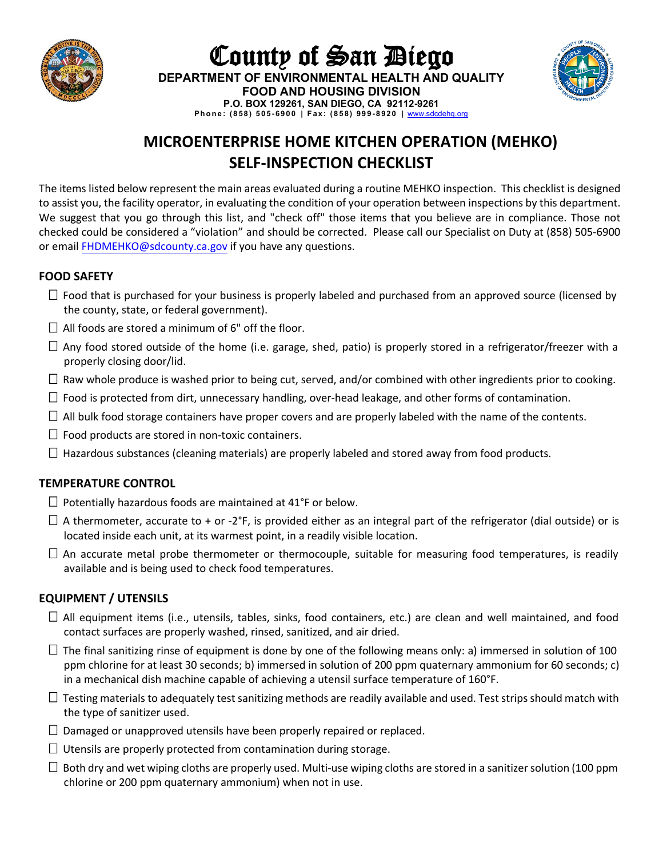

**FOOD AND HOUSING DIVISION P.O. BOX 129261, SAN DIEGO, CA 92112-9261 Phone: (858) 505 - 6900 | Fa x: (858) 999 - 8920 |** [www.sdcdehq.org](http://www.sdcdehq.org/)

County of San Diego **DEPARTMENT OF ENVIRONMENTAL HEALTH AND QUALITY**

# **MICROENTERPRISE HOME KITCHEN OPERATION (MEHKO) SELF-INSPECTION CHECKLIST**

The items listed below represent the main areas evaluated during a routine MEHKO inspection. This checklist is designed to assist you, the facility operator, in evaluating the condition of your operation between inspections by this department. We suggest that you go through this list, and "check off" those items that you believe are in compliance. Those not checked could be considered a "violation" and should be corrected. Please call our Specialist on Duty at (858) 505-6900 or email [FHDMEHKO@sdcounty.ca.gov](mailto:FHDMEHKO@SDCOUNTY.CA.GOV) if you have any questions.

## **FOOD SAFETY**

- $\Box$  Food that is purchased for your business is properly labeled and purchased from an approved source (licensed by the county, state, or federal government).
- $\Box$  All foods are stored a minimum of 6" off the floor.
- $\Box$  Any food stored outside of the home (i.e. garage, shed, patio) is properly stored in a refrigerator/freezer with a properly closing door/lid.
- $\Box$  Raw whole produce is washed prior to being cut, served, and/or combined with other ingredients prior to cooking.
- $\Box$  Food is protected from dirt, unnecessary handling, over-head leakage, and other forms of contamination.
- $\Box$  All bulk food storage containers have proper covers and are properly labeled with the name of the contents.
- $\Box$  Food products are stored in non-toxic containers.
- $\Box$  Hazardous substances (cleaning materials) are properly labeled and stored away from food products.

## **TEMPERATURE CONTROL**

- $\Box$  Potentially hazardous foods are maintained at 41°F or below.
- $\Box$  A thermometer, accurate to + or -2°F, is provided either as an integral part of the refrigerator (dial outside) or is located inside each unit, at its warmest point, in a readily visible location.
- $\Box$  An accurate metal probe thermometer or thermocouple, suitable for measuring food temperatures, is readily available and is being used to check food temperatures.

# **EQUIPMENT / UTENSILS**

- $\Box$  All equipment items (i.e., utensils, tables, sinks, food containers, etc.) are clean and well maintained, and food contact surfaces are properly washed, rinsed, sanitized, and air dried.
- $\Box$  The final sanitizing rinse of equipment is done by one of the following means only: a) immersed in solution of 100 ppm chlorine for at least 30 seconds; b) immersed in solution of 200 ppm quaternary ammonium for 60 seconds; c) in a mechanical dish machine capable of achieving a utensil surface temperature of 160°F.
- $\Box$  Testing materials to adequately test sanitizing methods are readily available and used. Test strips should match with the type of sanitizer used.
- $\Box$  Damaged or unapproved utensils have been properly repaired or replaced.
- $\Box$  Utensils are properly protected from contamination during storage.
- $\Box$  Both dry and wet wiping cloths are properly used. Multi-use wiping cloths are stored in a sanitizer solution (100 ppm chlorine or 200 ppm quaternary ammonium) when not in use.